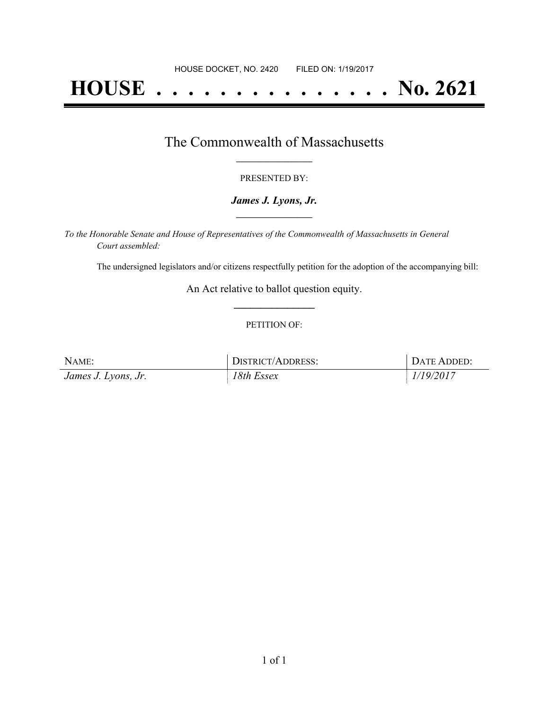## **HOUSE . . . . . . . . . . . . . . . No. 2621**

### The Commonwealth of Massachusetts **\_\_\_\_\_\_\_\_\_\_\_\_\_\_\_\_\_**

#### PRESENTED BY:

#### *James J. Lyons, Jr.* **\_\_\_\_\_\_\_\_\_\_\_\_\_\_\_\_\_**

*To the Honorable Senate and House of Representatives of the Commonwealth of Massachusetts in General Court assembled:*

The undersigned legislators and/or citizens respectfully petition for the adoption of the accompanying bill:

An Act relative to ballot question equity. **\_\_\_\_\_\_\_\_\_\_\_\_\_\_\_**

#### PETITION OF:

| NAME:               | DISTRICT/ADDRESS: | DATE ADDED: |
|---------------------|-------------------|-------------|
| James J. Lyons, Jr. | 18th Essex        | 1/19/2017   |